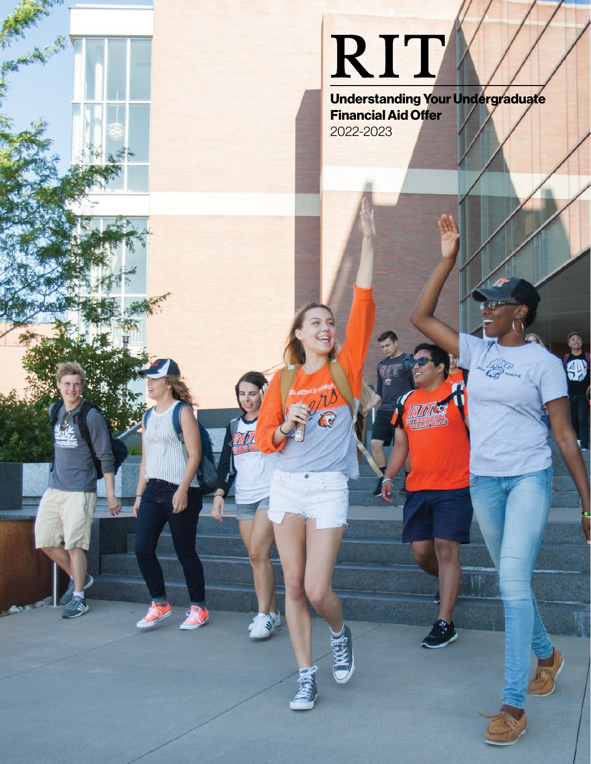# RIT

Understanding Your Undergraduate Financial Aid Offer 2022-2023

種

\$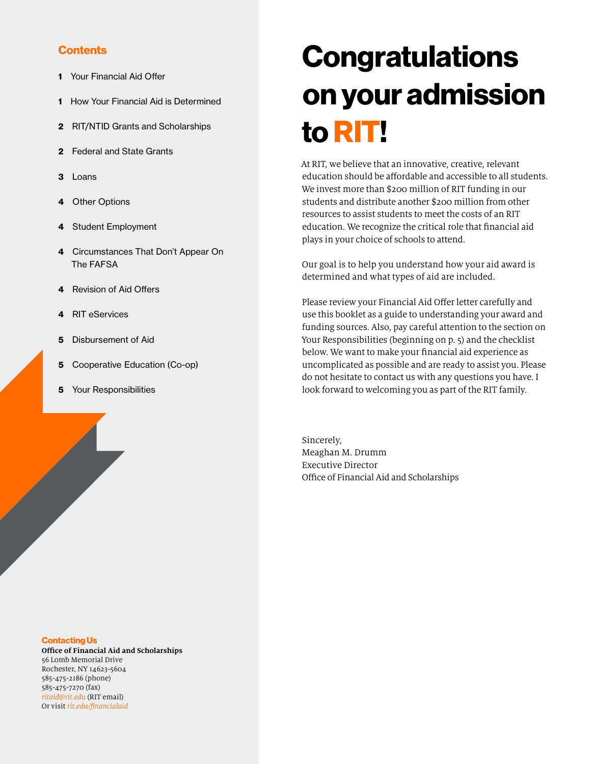#### **Contents**

- 1 [Your Financial Aid Offer](#page-2-0)
- 1 [How Your Financial Aid is Determined](#page-2-0)
- 2 [RIT/NTID Grants and Scholarships](#page-3-0)
- 2 [Federal and State Grants](#page-3-0)
- 3 [Loans](#page-4-0)
- 4 [Other Options](#page-5-0)
- 4 [Student Employment](#page-5-0)
- 4 [Circumstances That Don't Appear On](#page-5-0)  [The FAFSA](#page-5-0)
- 4 [Revision of Aid Offers](#page-5-0)
- 4 [RIT eServices](#page-5-0)
- 5 [Disbursement of Aid](#page-6-0)
- 5 [Cooperative Education \(Co-op\)](#page-6-0)
- **5** [Your Responsibilities](#page-6-0)

#### Contacting Us

**Office of Financial Aid and Scholarships** 56 Lomb Memorial Drive Rochester, NY 14623-5604 585-475-2186 (phone) 585-475-7270 (fax) *[ritaid@rit.edu](mailto:ritaid@rit.edu)* (RIT email) Or visit *[rit.edu/financialaid](http://rit.edu/financialaid)*

## **Congratulations** on your admission to RIT!

At RIT, we believe that an innovative, creative, relevant education should be affordable and accessible to all students. We invest more than \$200 million of RIT funding in our students and distribute another \$200 million from other resources to assist students to meet the costs of an RIT education. We recognize the critical role that financial aid plays in your choice of schools to attend.

Our goal is to help you understand how your aid award is determined and what types of aid are included.

Please review your Financial Aid Offer letter carefully and use this booklet as a guide to understanding your award and funding sources. Also, pay careful attention to the section on Your Responsibilities (beginning on p. 5) and the checklist below. We want to make your financial aid experience as uncomplicated as possible and are ready to assist you. Please do not hesitate to contact us with any questions you have. I look forward to welcoming you as part of the RIT family.

Sincerely, Meaghan M. Drumm Executive Director Office of Financial Aid and Scholarships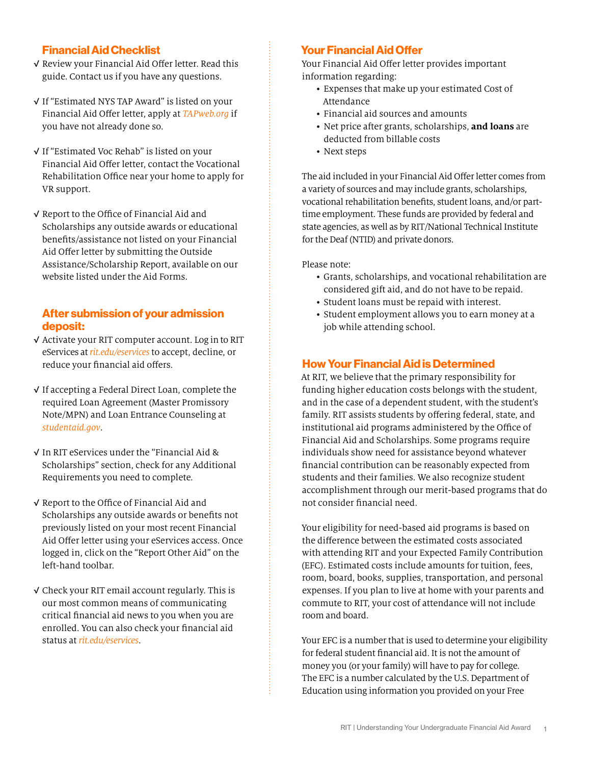#### <span id="page-2-1"></span><span id="page-2-0"></span>Financial Aid Checklist

- √ Review your Financial Aid Offer letter. Read this guide. Contact us if you have any questions.
- √ If "Estimated NYS TAP Award" is listed on your Financial Aid Offer letter, apply at *[TAPweb.org](http://TAPweb.org)* if you have not already done so.
- √ If "Estimated Voc Rehab" is listed on your Financial Aid Offer letter, contact the Vocational Rehabilitation Office near your home to apply for VR support.
- √ Report to the Office of Financial Aid and Scholarships any outside awards or educational benefits/assistance not listed on your Financial Aid Offer letter by submitting the Outside Assistance/Scholarship Report, available on our website listed under the Aid Forms.

#### After submission of your admission deposit:

- √ Activate your RIT computer account. Log in to RIT eServices at *[rit.edu/eservices](https://www.rit.edu/eservices/)* to accept, decline, or reduce your financial aid offers.
- √ If accepting a Federal Direct Loan, complete the required Loan Agreement (Master Promissory Note/MPN) and Loan Entrance Counseling at *[studentaid.gov](http://studentaid.gov)*.
- √ In RIT eServices under the "Financial Aid & Scholarships" section, check for any Additional Requirements you need to complete.
- √ Report to the Office of Financial Aid and Scholarships any outside awards or benefits not previously listed on your most recent Financial Aid Offer letter using your eServices access. Once logged in, click on the "Report Other Aid" on the left-hand toolbar.
- √ Check your RIT email account regularly. This is our most common means of communicating critical financial aid news to you when you are enrolled. You can also check your financial aid status at *[rit.edu/eservices](https://www.rit.edu/eservices/)*.

#### Your Financial Aid Offer

Your Financial Aid Offer letter provides important information regarding:

- Expenses that make up your estimated Cost of Attendance
- Financial aid sources and amounts
- Net price after grants, scholarships, **and loans** are deducted from billable costs
- Next steps

The aid included in your Financial Aid Offer letter comes from a variety of sources and may include grants, scholarships, vocational rehabilitation benefits, student loans, and/or parttime employment. These funds are provided by federal and state agencies, as well as by RIT/National Technical Institute for the Deaf (NTID) and private donors.

Please note:

- Grants, scholarships, and vocational rehabilitation are considered gift aid, and do not have to be repaid.
- Student loans must be repaid with interest.
- Student employment allows you to earn money at a job while attending school.

#### How Your Financial Aid is Determined

At RIT, we believe that the primary responsibility for funding higher education costs belongs with the student, and in the case of a dependent student, with the student's family. RIT assists students by offering federal, state, and institutional aid programs administered by the Office of Financial Aid and Scholarships. Some programs require individuals show need for assistance beyond whatever financial contribution can be reasonably expected from students and their families. We also recognize student accomplishment through our merit-based programs that do not consider financial need.

Your eligibility for need-based aid programs is based on the difference between the estimated costs associated with attending RIT and your Expected Family Contribution (EFC). Estimated costs include amounts for tuition, fees, room, board, books, supplies, transportation, and personal expenses. If you plan to live at home with your parents and commute to RIT, your cost of attendance will not include room and board.

Your EFC is a number that is used to determine your eligibility for federal student financial aid. It is not the amount of money you (or your family) will have to pay for college. The EFC is a number calculated by the U.S. Department of Education using information you provided on your Free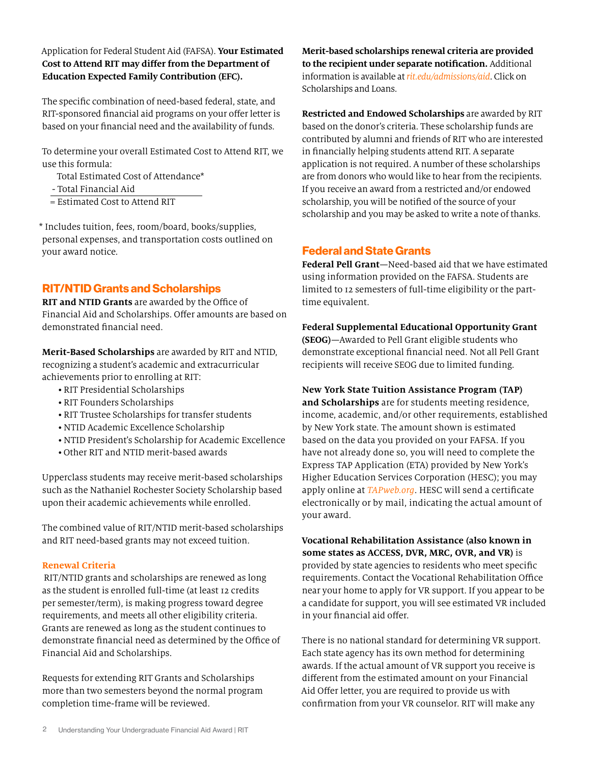#### <span id="page-3-0"></span>Application for Federal Student Aid (FAFSA). **Your Estimated Cost to Attend RIT may differ from the Department of Education Expected Family Contribution (EFC).**

The specific combination of need-based federal, state, and RIT-sponsored financial aid programs on your offer letter is based on your financial need and the availability of funds.

To determine your overall Estimated Cost to Attend RIT, we use this formula:

- Total Estimated Cost of Attendance\*
- Total Financial Aid
- = Estimated Cost to Attend RIT

\* Includes tuition, fees, room/board, books/supplies, personal expenses, and transportation costs outlined on your award notice.

#### RIT/NTID Grants and Scholarships

**RIT and NTID Grants** are awarded by the Office of Financial Aid and Scholarships. Offer amounts are based on demonstrated financial need.

**Merit-Based Scholarships** are awarded by RIT and NTID, recognizing a student's academic and extracurricular achievements prior to enrolling at RIT:

- RIT Presidential Scholarships
- RIT Founders Scholarships
- RIT Trustee Scholarships for transfer students
- NTID Academic Excellence Scholarship
- NTID President's Scholarship for Academic Excellence
- Other RIT and NTID merit-based awards

Upperclass students may receive merit-based scholarships such as the Nathaniel Rochester Society Scholarship based upon their academic achievements while enrolled.

The combined value of RIT/NTID merit-based scholarships and RIT need-based grants may not exceed tuition.

#### **Renewal Criteria**

 RIT/NTID grants and scholarships are renewed as long as the student is enrolled full-time (at least 12 credits per semester/term), is making progress toward degree requirements, and meets all other eligibility criteria. Grants are renewed as long as the student continues to demonstrate financial need as determined by the Office of Financial Aid and Scholarships.

Requests for extending RIT Grants and Scholarships more than two semesters beyond the normal program completion time-frame will be reviewed.

**Merit-based scholarships renewal criteria are provided to the recipient under separate notification.** Additional information is available at *[rit.edu/admissions/aid](http://rit.edu/admissions/aid)*. Click on Scholarships and Loans.

**Restricted and Endowed Scholarships** are awarded by RIT based on the donor's criteria. These scholarship funds are contributed by alumni and friends of RIT who are interested in financially helping students attend RIT. A separate application is not required. A number of these scholarships are from donors who would like to hear from the recipients. If you receive an award from a restricted and/or endowed scholarship, you will be notified of the source of your scholarship and you may be asked to write a note of thanks.

#### Federal and State Grants

**Federal Pell Grant**—Need-based aid that we have estimated using information provided on the FAFSA. Students are limited to 12 semesters of full-time eligibility or the parttime equivalent.

**Federal Supplemental Educational Opportunity Grant (SEOG)**—Awarded to Pell Grant eligible students who demonstrate exceptional financial need. Not all Pell Grant recipients will receive SEOG due to limited funding.

#### **New York State Tuition Assistance Program (TAP)**

**and Scholarships** are for students meeting residence, income, academic, and/or other requirements, established by New York state. The amount shown is estimated based on the data you provided on your FAFSA. If you have not already done so, you will need to complete the Express TAP Application (ETA) provided by New York's Higher Education Services Corporation (HESC); you may apply online at *[TAPweb.org](http://www.TAPweb.org)*. HESC will send a certificate electronically or by mail, indicating the actual amount of your award.

**Vocational Rehabilitation Assistance (also known in some states as ACCESS, DVR, MRC, OVR, and VR)** is provided by state agencies to residents who meet specific requirements. Contact the Vocational Rehabilitation Office near your home to apply for VR support. If you appear to be a candidate for support, you will see estimated VR included in your financial aid offer.

There is no national standard for determining VR support. Each state agency has its own method for determining awards. If the actual amount of VR support you receive is different from the estimated amount on your Financial Aid Offer letter, you are required to provide us with confirmation from your VR counselor. RIT will make any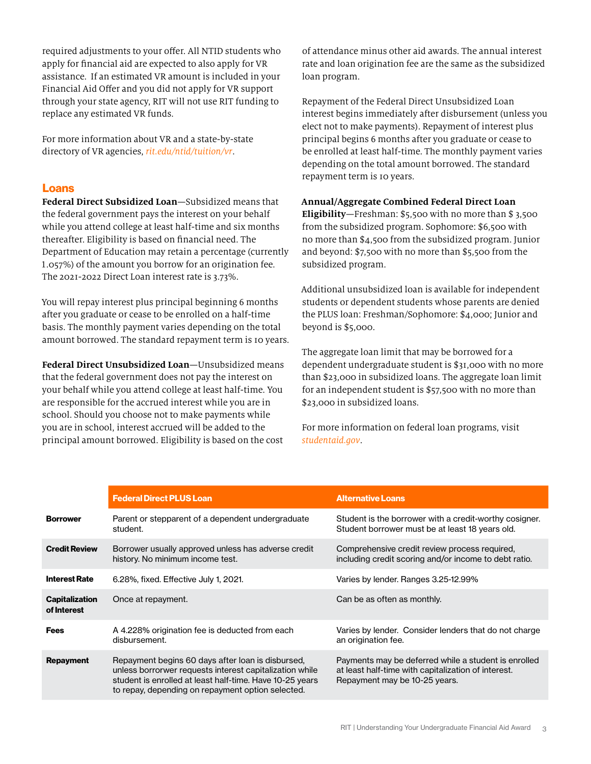<span id="page-4-0"></span>required adjustments to your offer. All NTID students who apply for financial aid are expected to also apply for VR assistance. If an estimated VR amount is included in your Financial Aid Offer and you did not apply for VR support through your state agency, RIT will not use RIT funding to replace any estimated VR funds.

For more information about VR and a state-by-state directory of VR agencies, *[rit.edu/ntid/tuition/vr](http://rit.edu/ntid/tuition/vr)*.

#### Loans

**Federal Direct Subsidized Loan**—Subsidized means that the federal government pays the interest on your behalf while you attend college at least half-time and six months thereafter. Eligibility is based on financial need. The Department of Education may retain a percentage (currently 1.057%) of the amount you borrow for an origination fee. The 2021-2022 Direct Loan interest rate is 3.73%.

You will repay interest plus principal beginning 6 months after you graduate or cease to be enrolled on a half-time basis. The monthly payment varies depending on the total amount borrowed. The standard repayment term is 10 years.

**Federal Direct Unsubsidized Loan**—Unsubsidized means that the federal government does not pay the interest on your behalf while you attend college at least half-time. You are responsible for the accrued interest while you are in school. Should you choose not to make payments while you are in school, interest accrued will be added to the principal amount borrowed. Eligibility is based on the cost

of attendance minus other aid awards. The annual interest rate and loan origination fee are the same as the subsidized loan program.

Repayment of the Federal Direct Unsubsidized Loan interest begins immediately after disbursement (unless you elect not to make payments). Repayment of interest plus principal begins 6 months after you graduate or cease to be enrolled at least half-time. The monthly payment varies depending on the total amount borrowed. The standard repayment term is 10 years.

#### **Annual/Aggregate Combined Federal Direct Loan**

**Eligibility**—Freshman: \$5,500 with no more than \$ 3,500 from the subsidized program. Sophomore: \$6,500 with no more than \$4,500 from the subsidized program. Junior and beyond: \$7,500 with no more than \$5,500 from the subsidized program.

Additional unsubsidized loan is available for independent students or dependent students whose parents are denied the PLUS loan: Freshman/Sophomore: \$4,000; Junior and beyond is \$5,000.

The aggregate loan limit that may be borrowed for a dependent undergraduate student is \$31,000 with no more than \$23,000 in subsidized loans. The aggregate loan limit for an independent student is \$57,500 with no more than \$23,000 in subsidized loans.

For more information on federal loan programs, visit *[studentaid.gov](http://studentaid.gov)*.

|                                      | <b>Federal Direct PLUS Loan</b>                                                                                                                                                                                               | <b>Alternative Loans</b>                                                                                                                     |
|--------------------------------------|-------------------------------------------------------------------------------------------------------------------------------------------------------------------------------------------------------------------------------|----------------------------------------------------------------------------------------------------------------------------------------------|
| <b>Borrower</b>                      | Parent or stepparent of a dependent undergraduate<br>student.                                                                                                                                                                 | Student is the borrower with a credit-worthy cosigner.<br>Student borrower must be at least 18 years old.                                    |
| <b>Credit Review</b>                 | Borrower usually approved unless has adverse credit<br>history. No minimum income test.                                                                                                                                       | Comprehensive credit review process required.<br>including credit scoring and/or income to debt ratio.                                       |
| <b>Interest Rate</b>                 | 6.28%, fixed. Effective July 1, 2021.                                                                                                                                                                                         | Varies by lender. Ranges 3.25-12.99%                                                                                                         |
| <b>Capitalization</b><br>of Interest | Once at repayment.                                                                                                                                                                                                            | Can be as often as monthly.                                                                                                                  |
| Fees                                 | A 4.228% origination fee is deducted from each<br>disbursement.                                                                                                                                                               | Varies by lender. Consider lenders that do not charge<br>an origination fee.                                                                 |
| <b>Repayment</b>                     | Repayment begins 60 days after loan is disbursed,<br>unless borrorwer requests interest capitalization while<br>student is enrolled at least half-time. Have 10-25 years<br>to repay, depending on repayment option selected. | Payments may be deferred while a student is enrolled<br>at least half-time with capitalization of interest.<br>Repayment may be 10-25 years. |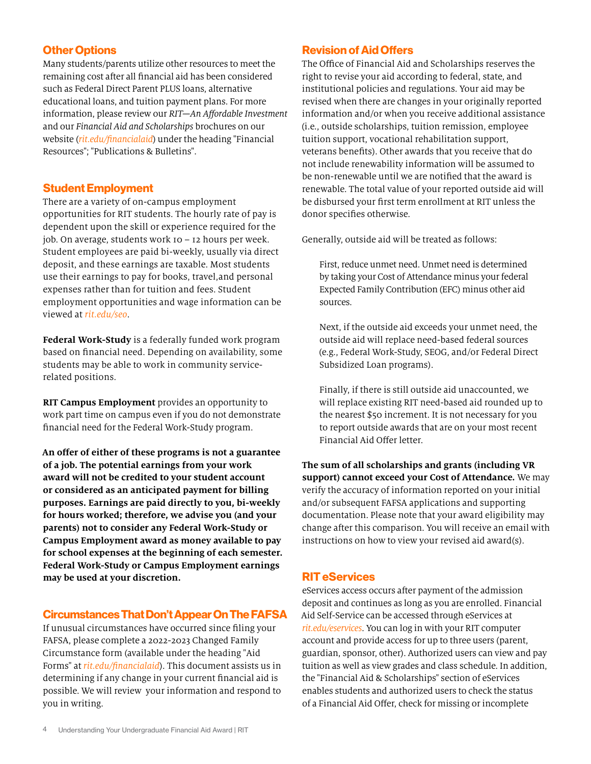#### <span id="page-5-0"></span>Other Options

Many students/parents utilize other resources to meet the remaining cost after all financial aid has been considered such as Federal Direct Parent PLUS loans, alternative educational loans, and tuition payment plans. For more information, please review our *RIT—An Affordable Investment* and our *Financial Aid and Scholarships* brochures on our website (*[rit.edu/financialaid](http://rit.edu/financialaid)*) under the heading "Financial Resources"; "Publications & Bulletins".

#### Student Employment

There are a variety of on-campus employment opportunities for RIT students. The hourly rate of pay is dependent upon the skill or experience required for the job. On average, students work 10 – 12 hours per week. Student employees are paid bi-weekly, usually via direct deposit, and these earnings are taxable. Most students use their earnings to pay for books, travel,and personal expenses rather than for tuition and fees. Student employment opportunities and wage information can be viewed at *[rit.edu/seo](http://rit.edu/seo)*.

**Federal Work-Study** is a federally funded work program based on financial need. Depending on availability, some students may be able to work in community servicerelated positions.

**RIT Campus Employment** provides an opportunity to work part time on campus even if you do not demonstrate financial need for the Federal Work-Study program.

**An offer of either of these programs is not a guarantee of a job. The potential earnings from your work award will not be credited to your student account or considered as an anticipated payment for billing purposes. Earnings are paid directly to you, bi-weekly for hours worked; therefore, we advise you (and your parents) not to consider any Federal Work-Study or Campus Employment award as money available to pay for school expenses at the beginning of each semester. Federal Work-Study or Campus Employment earnings may be used at your discretion.**

#### Circumstances That Don't Appear On The FAFSA

If unusual circumstances have occurred since filing your FAFSA, please complete a 2022-2023 Changed Family Circumstance form (available under the heading "Aid Forms" at *[rit.edu/financialaid](http://rit.edu/financialaid)*). This document assists us in determining if any change in your current financial aid is possible. We will review your information and respond to you in writing.

#### Revision of Aid Offers

The Office of Financial Aid and Scholarships reserves the right to revise your aid according to federal, state, and institutional policies and regulations. Your aid may be revised when there are changes in your originally reported information and/or when you receive additional assistance (i.e., outside scholarships, tuition remission, employee tuition support, vocational rehabilitation support, veterans benefits). Other awards that you receive that do not include renewability information will be assumed to be non-renewable until we are notified that the award is renewable. The total value of your reported outside aid will be disbursed your first term enrollment at RIT unless the donor specifies otherwise.

Generally, outside aid will be treated as follows:

First, reduce unmet need. Unmet need is determined by taking your Cost of Attendance minus your federal Expected Family Contribution (EFC) minus other aid sources.

Next, if the outside aid exceeds your unmet need, the outside aid will replace need-based federal sources (e.g., Federal Work-Study, SEOG, and/or Federal Direct Subsidized Loan programs).

Finally, if there is still outside aid unaccounted, we will replace existing RIT need-based aid rounded up to the nearest \$50 increment. It is not necessary for you to report outside awards that are on your most recent Financial Aid Offer letter.

**The sum of all scholarships and grants (including VR support) cannot exceed your Cost of Attendance.** We may verify the accuracy of information reported on your initial and/or subsequent FAFSA applications and supporting documentation. Please note that your award eligibility may change after this comparison. You will receive an email with instructions on how to view your revised aid award(s).

#### RIT eServices

eServices access occurs after payment of the admission deposit and continues as long as you are enrolled. Financial Aid Self-Service can be accessed through eServices at *[rit.edu/eservices](https://www.rit.edu/eservices/)*. You can log in with your RIT computer account and provide access for up to three users (parent, guardian, sponsor, other). Authorized users can view and pay tuition as well as view grades and class schedule. In addition, the "Financial Aid & Scholarships" section of eServices enables students and authorized users to check the status of a Financial Aid Offer, check for missing or incomplete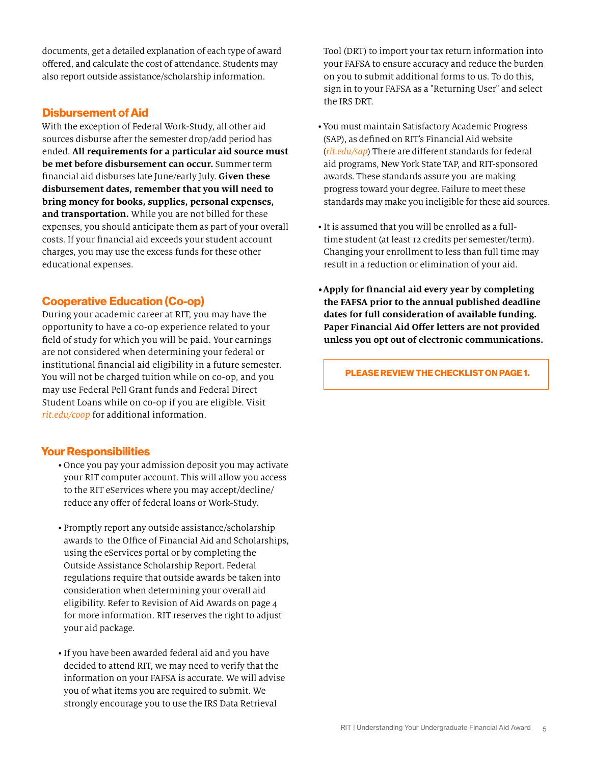<span id="page-6-0"></span>documents, get a detailed explanation of each type of award offered, and calculate the cost of attendance. Students may also report outside assistance/scholarship information.

#### Disbursement of Aid

With the exception of Federal Work-Study, all other aid sources disburse after the semester drop/add period has ended. **All requirements for a particular aid source must be met before disbursement can occur.** Summer term financial aid disburses late June/early July. **Given these disbursement dates, remember that you will need to bring money for books, supplies, personal expenses, and transportation.** While you are not billed for these expenses, you should anticipate them as part of your overall costs. If your financial aid exceeds your student account charges, you may use the excess funds for these other educational expenses.

#### Cooperative Education (Co-op)

During your academic career at RIT, you may have the opportunity to have a co-op experience related to your field of study for which you will be paid. Your earnings are not considered when determining your federal or institutional financial aid eligibility in a future semester. You will not be charged tuition while on co-op, and you may use Federal Pell Grant funds and Federal Direct Student Loans while on co-op if you are eligible. Visit *[rit.edu/coop](http://rit.edu/coop)* for additional information.

#### Your Responsibilities

- Once you pay your admission deposit you may activate your RIT computer account. This will allow you access to the RIT eServices where you may accept/decline/ reduce any offer of federal loans or Work-Study.
- Promptly report any outside assistance/scholarship awards to the Office of Financial Aid and Scholarships, using the eServices portal or by completing the Outside Assistance Scholarship Report. Federal regulations require that outside awards be taken into consideration when determining your overall aid eligibility. Refer to Revision of Aid Awards on page 4 for more information. RIT reserves the right to adjust your aid package.
- If you have been awarded federal aid and you have decided to attend RIT, we may need to verify that the information on your FAFSA is accurate. We will advise you of what items you are required to submit. We strongly encourage you to use the IRS Data Retrieval

Tool (DRT) to import your tax return information into your FAFSA to ensure accuracy and reduce the burden on you to submit additional forms to us. To do this, sign in to your FAFSA as a "Returning User" and select the IRS DRT.

- •You must maintain Satisfactory Academic Progress (SAP), as defined on RIT's Financial Aid website (*[rit.edu/sap](http://www.rit.edu/sap)*) There are different standards for federal aid programs, New York State TAP, and RIT-sponsored awards. These standards assure you are making progress toward your degree. Failure to meet these standards may make you ineligible for these aid sources.
- It is assumed that you will be enrolled as a fulltime student (at least 12 credits per semester/term). Changing your enrollment to less than full time may result in a reduction or elimination of your aid.
- **•Apply for financial aid every year by completing the FAFSA prior to the annual published deadline dates for full consideration of available funding. Paper Financial Aid Offer letters are not provided unless you opt out of electronic communications.**

PLEASE REVIEW THE [CHECKLIST ON PAGE 1.](#page-2-1)